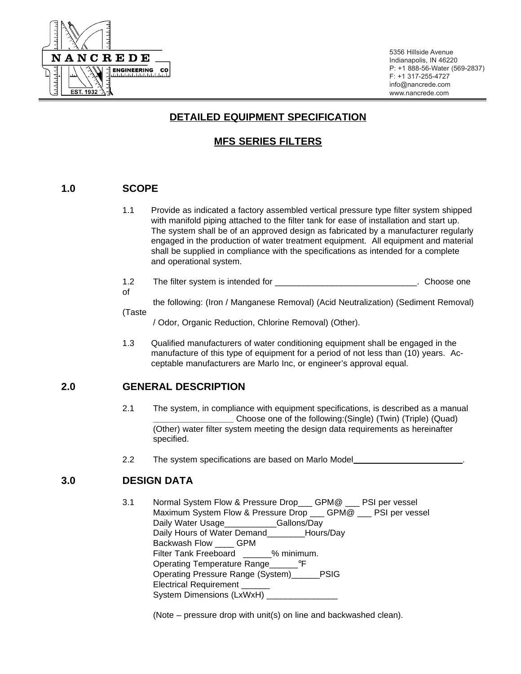

5356 Hillside Avenue Indianapolis, IN 46220 P: +1 888-56-Water (569-2837) F: +1 317-255-4727 [info@nancrede.com](mailto:info@nancrede.com) [www.nancrede.com](http://www.nancrede.com)

# **DETAILED EQUIPMENT SPECIFICATION**

# **MFS SERIES FILTERS**

# **1.0 SCOPE**

of

- 1.1 Provide as indicated a factory assembled vertical pressure type filter system shipped with manifold piping attached to the filter tank for ease of installation and start up. The system shall be of an approved design as fabricated by a manufacturer regularly engaged in the production of water treatment equipment. All equipment and material shall be supplied in compliance with the specifications as intended for a complete and operational system.
- 1.2 The filter system is intended for \_\_\_\_\_\_\_\_\_\_\_\_\_\_\_\_\_\_\_\_\_\_\_\_\_\_\_\_\_\_\_\_. Choose one

the following: (Iron / Manganese Removal) (Acid Neutralization) (Sediment Removal) (Taste

/ Odor, Organic Reduction, Chlorine Removal) (Other).

1.3 Qualified manufacturers of water conditioning equipment shall be engaged in the manufacture of this type of equipment for a period of not less than (10) years. Acceptable manufacturers are Marlo Inc, or engineer's approval equal.

# **2.0 GENERAL DESCRIPTION**

- 2.1 The system, in compliance with equipment specifications, is described as a manual **\_\_\_\_\_\_\_\_\_\_\_\_\_\_\_\_\_** Choose one of the following:(Single) (Twin) (Triple) (Quad) (Other) water filter system meeting the design data requirements as hereinafter specified.
- 2.2 The system specifications are based on Marlo Model

# **3.0 DESIGN DATA**

3.1 Normal System Flow & Pressure Drop\_\_\_ GPM@ \_\_\_ PSI per vessel Maximum System Flow & Pressure Drop \_\_\_ GPM@ \_\_ PSI per vessel Daily Water Usage **Callons** Gallons **Day** Daily Hours of Water Demand\_\_\_\_\_\_\_\_Hours/Day Backwash Flow GPM Filter Tank Freeboard % minimum. Operating Temperature Range <sup>o</sup>F Operating Pressure Range (System)\_\_\_\_\_\_PSIG Electrical Requirement \_\_\_\_\_\_ System Dimensions (LxWxH) \_

(Note – pressure drop with unit(s) on line and backwashed clean).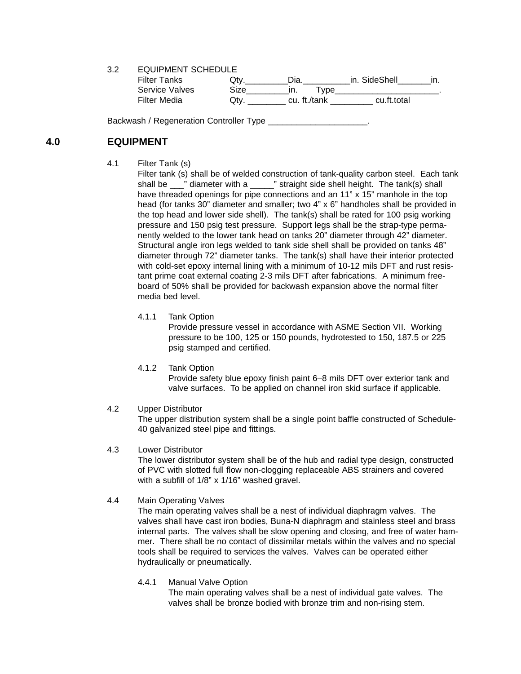3.2 EQUIPMENT SCHEDULE

| Filter Tanks   | Jtv  | Dia.         | in. SideShell |  |
|----------------|------|--------------|---------------|--|
| Service Valves | Size | vpe          |               |  |
| Filter Media   | Otv  | cu. ft./tank | cu.ft.total   |  |

Backwash / Regeneration Controller Type

## **4.0 EQUIPMENT**

4.1 Filter Tank (s)

Filter tank (s) shall be of welded construction of tank-quality carbon steel. Each tank shall be \_\_\_" diameter with a \_\_\_\_\_" straight side shell height. The tank(s) shall have threaded openings for pipe connections and an 11" x 15" manhole in the top head (for tanks 30" diameter and smaller; two 4" x 6" handholes shall be provided in the top head and lower side shell). The tank(s) shall be rated for 100 psig working pressure and 150 psig test pressure. Support legs shall be the strap-type permanently welded to the lower tank head on tanks 20" diameter through 42" diameter. Structural angle iron legs welded to tank side shell shall be provided on tanks 48" diameter through 72" diameter tanks. The tank(s) shall have their interior protected with cold-set epoxy internal lining with a minimum of 10-12 mils DFT and rust resistant prime coat external coating 2-3 mils DFT after fabrications. A minimum freeboard of 50% shall be provided for backwash expansion above the normal filter media bed level.

4.1.1 Tank Option

Provide pressure vessel in accordance with ASME Section VII. Working pressure to be 100, 125 or 150 pounds, hydrotested to 150, 187.5 or 225 psig stamped and certified.

4.1.2 Tank Option

Provide safety blue epoxy finish paint 6–8 mils DFT over exterior tank and valve surfaces. To be applied on channel iron skid surface if applicable.

4.2 Upper Distributor

The upper distribution system shall be a single point baffle constructed of Schedule-40 galvanized steel pipe and fittings.

### 4.3 Lower Distributor

The lower distributor system shall be of the hub and radial type design, constructed of PVC with slotted full flow non-clogging replaceable ABS strainers and covered with a subfill of 1/8" x 1/16" washed gravel.

#### 4.4 Main Operating Valves

The main operating valves shall be a nest of individual diaphragm valves. The valves shall have cast iron bodies, Buna-N diaphragm and stainless steel and brass internal parts. The valves shall be slow opening and closing, and free of water hammer. There shall be no contact of dissimilar metals within the valves and no special tools shall be required to services the valves. Valves can be operated either hydraulically or pneumatically.

4.4.1 Manual Valve Option

The main operating valves shall be a nest of individual gate valves. The valves shall be bronze bodied with bronze trim and non-rising stem.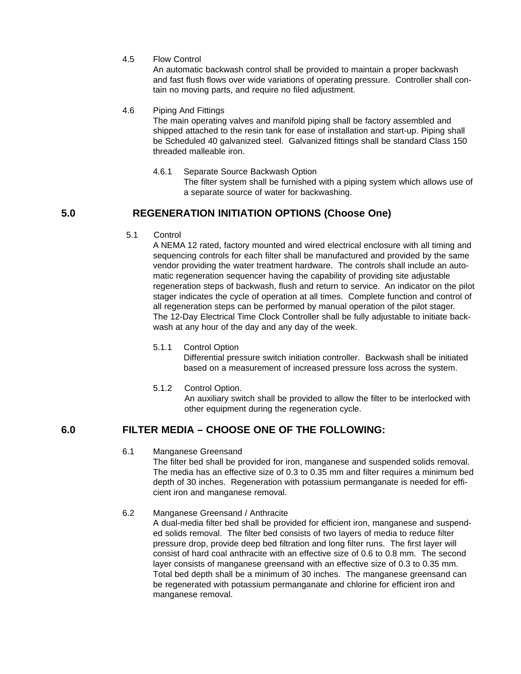4.5 Flow Control

An automatic backwash control shall be provided to maintain a proper backwash and fast flush flows over wide variations of operating pressure. Controller shall contain no moving parts, and require no filed adjustment.

### 4.6 Piping And Fittings

The main operating valves and manifold piping shall be factory assembled and shipped attached to the resin tank for ease of installation and start-up. Piping shall be Scheduled 40 galvanized steel. Galvanized fittings shall be standard Class 150 threaded malleable iron.

### 4.6.1 Separate Source Backwash Option The filter system shall be furnished with a piping system which allows use of a separate source of water for backwashing.

# **5.0 REGENERATION INITIATION OPTIONS (Choose One)**

5.1 Control

A NEMA 12 rated, factory mounted and wired electrical enclosure with all timing and sequencing controls for each filter shall be manufactured and provided by the same vendor providing the water treatment hardware. The controls shall include an automatic regeneration sequencer having the capability of providing site adjustable regeneration steps of backwash, flush and return to service. An indicator on the pilot stager indicates the cycle of operation at all times. Complete function and control of all regeneration steps can be performed by manual operation of the pilot stager. The 12-Day Electrical Time Clock Controller shall be fully adjustable to initiate backwash at any hour of the day and any day of the week.

5.1.1 Control Option

Differential pressure switch initiation controller. Backwash shall be initiated based on a measurement of increased pressure loss across the system.

5.1.2 Control Option.

An auxiliary switch shall be provided to allow the filter to be interlocked with other equipment during the regeneration cycle.

# **6.0 FILTER MEDIA – CHOOSE ONE OF THE FOLLOWING:**

### 6.1 Manganese Greensand

The filter bed shall be provided for iron, manganese and suspended solids removal. The media has an effective size of 0.3 to 0.35 mm and filter requires a minimum bed depth of 30 inches. Regeneration with potassium permanganate is needed for efficient iron and manganese removal.

### 6.2 Manganese Greensand / Anthracite

A dual-media filter bed shall be provided for efficient iron, manganese and suspended solids removal. The filter bed consists of two layers of media to reduce filter pressure drop, provide deep bed filtration and long filter runs. The first layer will consist of hard coal anthracite with an effective size of 0.6 to 0.8 mm. The second layer consists of manganese greensand with an effective size of 0.3 to 0.35 mm. Total bed depth shall be a minimum of 30 inches. The manganese greensand can be regenerated with potassium permanganate and chlorine for efficient iron and manganese removal.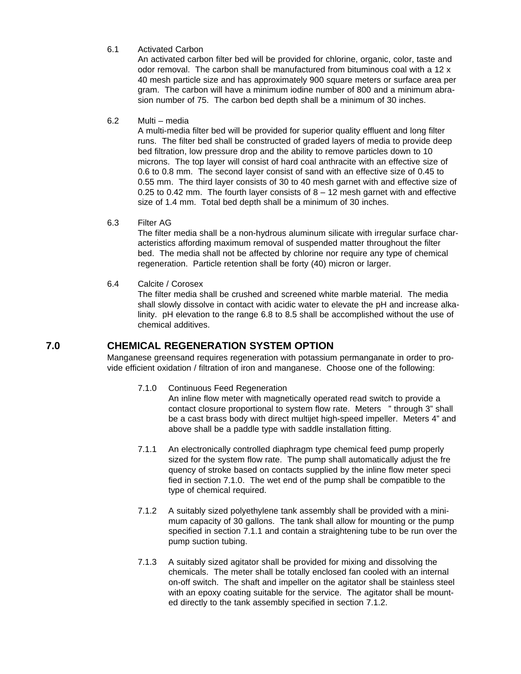### 6.1 Activated Carbon

An activated carbon filter bed will be provided for chlorine, organic, color, taste and odor removal. The carbon shall be manufactured from bituminous coal with a 12 x 40 mesh particle size and has approximately 900 square meters or surface area per gram. The carbon will have a minimum iodine number of 800 and a minimum abrasion number of 75. The carbon bed depth shall be a minimum of 30 inches.

#### 6.2 Multi – media

A multi-media filter bed will be provided for superior quality effluent and long filter runs. The filter bed shall be constructed of graded layers of media to provide deep bed filtration, low pressure drop and the ability to remove particles down to 10 microns. The top layer will consist of hard coal anthracite with an effective size of 0.6 to 0.8 mm. The second layer consist of sand with an effective size of 0.45 to 0.55 mm. The third layer consists of 30 to 40 mesh garnet with and effective size of 0.25 to 0.42 mm. The fourth layer consists of  $8 - 12$  mesh garnet with and effective size of 1.4 mm. Total bed depth shall be a minimum of 30 inches.

### 6.3 Filter AG

The filter media shall be a non-hydrous aluminum silicate with irregular surface characteristics affording maximum removal of suspended matter throughout the filter bed. The media shall not be affected by chlorine nor require any type of chemical regeneration. Particle retention shall be forty (40) micron or larger.

### 6.4 Calcite / Corosex

The filter media shall be crushed and screened white marble material. The media shall slowly dissolve in contact with acidic water to elevate the pH and increase alkalinity. pH elevation to the range 6.8 to 8.5 shall be accomplished without the use of chemical additives.

## **7.0 CHEMICAL REGENERATION SYSTEM OPTION**

Manganese greensand requires regeneration with potassium permanganate in order to provide efficient oxidation / filtration of iron and manganese. Choose one of the following:

7.1.0 Continuous Feed Regeneration

An inline flow meter with magnetically operated read switch to provide a contact closure proportional to system flow rate. Meters " through 3" shall be a cast brass body with direct multijet high-speed impeller. Meters 4" and above shall be a paddle type with saddle installation fitting.

- 7.1.1 An electronically controlled diaphragm type chemical feed pump properly sized for the system flow rate. The pump shall automatically adjust the fre quency of stroke based on contacts supplied by the inline flow meter speci fied in section 7.1.0. The wet end of the pump shall be compatible to the type of chemical required.
- 7.1.2 A suitably sized polyethylene tank assembly shall be provided with a minimum capacity of 30 gallons. The tank shall allow for mounting or the pump specified in section 7.1.1 and contain a straightening tube to be run over the pump suction tubing.
- 7.1.3 A suitably sized agitator shall be provided for mixing and dissolving the chemicals. The meter shall be totally enclosed fan cooled with an internal on-off switch. The shaft and impeller on the agitator shall be stainless steel with an epoxy coating suitable for the service. The agitator shall be mounted directly to the tank assembly specified in section 7.1.2.